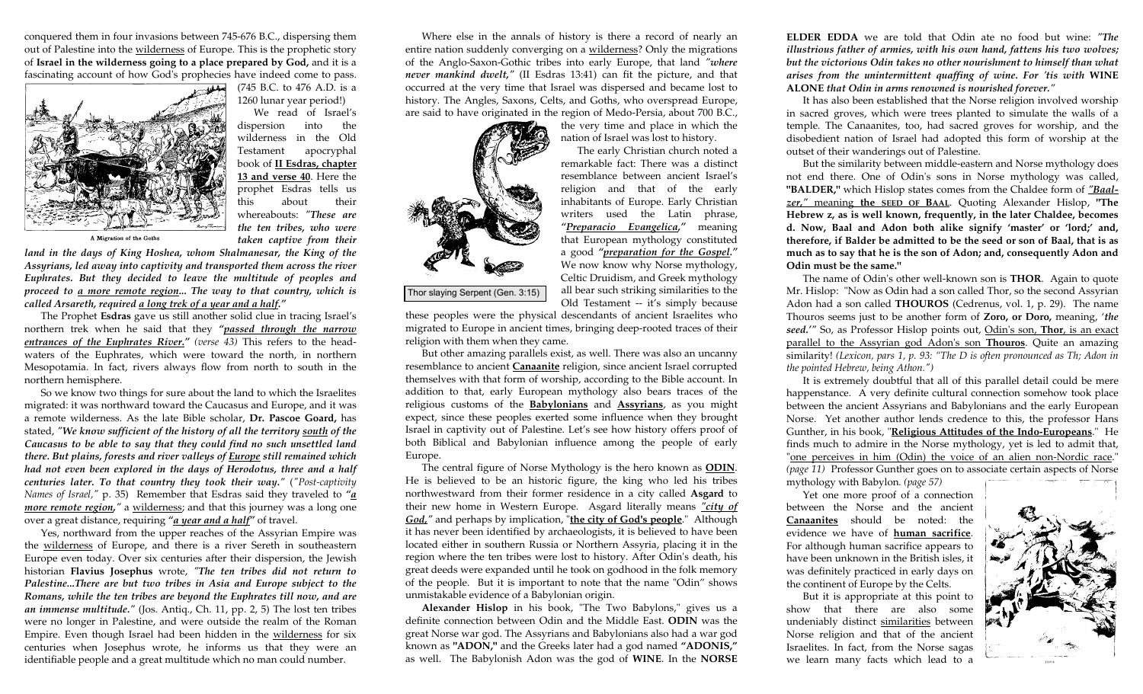conquered them in four invasions between 745-676 B.C., dispersing them out of Palestine into the wilderness of Europe. This is the prophetic story of **Israel in the wilderness going to a place prepared by God,** and it is a fascinating account of how God's prophecies have indeed come to pass.



(745 B.C. to 476 A.D. is a 1260 lunar year period!)

 We read of Israel's dispersion into the wilderness in the Old Testament apocryphal book of **II Esdras, chapter 13 and verse 40**. Here the prophet Esdras tells us this about their whereabouts: *"These are the ten tribes, who were taken captive from their* 

A Migration of the Goths

*land in the days of King Hoshea, whom Shalmanesar, the King of the Assyrians, led away into captivity and transported them across the river Euphrates. But they decided to leave the multitude of peoples and proceed to a more remote region... The way to that country, which is called Arsareth, required a long trek of a year and a half."* 

 The Prophet **Esdras** gave us still another solid clue in tracing Israel's northern trek when he said that they *"passed through the narrow entrances of the Euphrates River." (verse 43)* This refers to the headwaters of the Euphrates, which were toward the north, in northern Mesopotamia. In fact, rivers always flow from north to south in the northern hemisphere.

 So we know two things for sure about the land to which the Israelites migrated: it was northward toward the Caucasus and Europe, and it was a remote wilderness. As the late Bible scholar, **Dr. Pascoe Goard,** has stated, *"We know sufficient of the history of all the territory south of the Caucasus to be able to say that they could find no such unsettled land there. But plains, forests and river valleys of Europe still remained which had not even been explored in the days of Herodotus, three and a half centuries later. To that country they took their way."* (*"Post-captivity Names of Israel,"* p. 35) Remember that Esdras said they traveled to *"a more remote region,*" a wilderness; and that this journey was a long one over a great distance, requiring *"a year and a half"* of travel.

 Yes, northward from the upper reaches of the Assyrian Empire was the wilderness of Europe, and there is a river Sereth in southeastern Europe even today. Over six centuries after their dispersion, the Jewish historian **Flavius Josephus** wrote, *"The ten tribes did not return to Palestine...There are but two tribes in Asia and Europe subject to the Romans, while the ten tribes are beyond the Euphrates till now, and are an immense multitude."* (Jos. Antiq., Ch. 11, pp. 2, 5) The lost ten tribes were no longer in Palestine, and were outside the realm of the Roman Empire. Even though Israel had been hidden in the wilderness for six centuries when Josephus wrote, he informs us that they were an identifiable people and a great multitude which no man could number.

 Where else in the annals of history is there a record of nearly an entire nation suddenly converging on a wilderness? Only the migrations of the Anglo-Saxon-Gothic tribes into early Europe, that land *"where never mankind dwelt,"* (II Esdras 13:41) can fit the picture, and that occurred at the very time that Israel was dispersed and became lost to history. The Angles, Saxons, Celts, and Goths, who overspread Europe, are said to have originated in the region of Medo-Persia, about 700 B.C.,



the very time and place in which the nation of Israel was lost to history.

 The early Christian church noted a remarkable fact: There was a distinct resemblance between ancient Israel's religion and that of the early inhabitants of Europe. Early Christian writers used the Latin phrase, *"Preparacio Evangelica,"* meaning that European mythology constituted a good *"preparation for the Gospel."* We now know why Norse mythology, Celtic Druidism, and Greek mythology all bear such striking similarities to the Old Testament -- it's simply because

these peoples were the physical descendants of ancient Israelites who migrated to Europe in ancient times, bringing deep-rooted traces of their religion with them when they came.

 But other amazing parallels exist, as well. There was also an uncanny resemblance to ancient **Canaanite** religion, since ancient Israel corrupted themselves with that form of worship, according to the Bible account. In addition to that, early European mythology also bears traces of the religious customs of the **Babylonians** and **Assyrians**, as you might expect, since these peoples exerted some influence when they brought Israel in captivity out of Palestine. Let's see how history offers proof of both Biblical and Babylonian influence among the people of early Europe.

 The central figure of Norse Mythology is the hero known as **ODIN**. He is believed to be an historic figure, the king who led his tribes northwestward from their former residence in a city called **Asgard** to their new home in Western Europe. Asgard literally means *"city of God,"* and perhaps by implication, "**the city of God's people**." Although it has never been identified by archaeologists, it is believed to have been located either in southern Russia or Northern Assyria, placing it in the region where the ten tribes were lost to history. After Odin's death, his great deeds were expanded until he took on godhood in the folk memory of the people. But it is important to note that the name "Odin" shows unmistakable evidence of a Babylonian origin.

**Alexander Hislop** in his book, "The Two Babylons," gives us a definite connection between Odin and the Middle East. **ODIN** was the great Norse war god. The Assyrians and Babylonians also had a war god known as **"ADON,"** and the Greeks later had a god named **"ADONIS,"** as well. The Babylonish Adon was the god of **WINE**. In the **NORSE** 

**ELDER EDDA** we are told that Odin ate no food but wine: *"The illustrious father of armies, with his own hand, fattens his two wolves; but the victorious Odin takes no other nourishment to himself than what arises from the unintermittent quaffing of wine. For 'tis with* **WINE ALONE** *that Odin in arms renowned is nourished forever."* 

 It has also been established that the Norse religion involved worship in sacred groves, which were trees planted to simulate the walls of a temple. The Canaanites, too, had sacred groves for worship, and the disobedient nation of Israel had adopted this form of worship at the outset of their wanderings out of Palestine.

 But the similarity between middle-eastern and Norse mythology does not end there. One of Odin's sons in Norse mythology was called, **"BALDER,"** which Hislop states comes from the Chaldee form of *"Baalzer,"* meaning **the SEED OF BAAL**. Quoting Alexander Hislop, **"The Hebrew z, as is well known, frequently, in the later Chaldee, becomes d. Now, Baal and Adon both alike signify 'master' or 'lord;' and, therefore, if Balder be admitted to be the seed or son of Baal, that is as much as to say that he is the son of Adon; and, consequently Adon and Odin must be the same."**

 The name of Odin's other well-known son is **THOR**. Again to quote Mr. Hislop: "Now as Odin had a son called Thor, so the second Assyrian Adon had a son called **THOUROS** (Cedrenus, vol. 1, p. 29). The name Thouros seems just to be another form of **Zoro, or Doro,** meaning, '*the seed.'"* So, as Professor Hislop points out, Odin's son, **Thor**, is an exact parallel to the Assyrian god Adon's son **Thouros**. Quite an amazing similarity! *(Lexicon, pars 1, p. 93: "The D is often pronounced as Th; Adon in the pointed Hebrew, being Athon.")*

 It is extremely doubtful that all of this parallel detail could be mere happenstance. A very definite cultural connection somehow took place between the ancient Assyrians and Babylonians and the early European Norse. Yet another author lends credence to this, the professor Hans Gunther, in his book, "**Religious Attitudes of the Indo-Europeans**." He finds much to admire in the Norse mythology, yet is led to admit that, "one perceives in him (Odin) the voice of an alien non-Nordic race." *(page 11)* Professor Gunther goes on to associate certain aspects of Norse mythology with Babylon*. (page 57)*

 Yet one more proof of a connection between the Norse and the ancient **Canaanites** should be noted: the evidence we have of **human sacrifice**. For although human sacrifice appears to have been unknown in the British isles, it was definitely practiced in early days on the continent of Europe by the Celts.

 But it is appropriate at this point to show that there are also some undeniably distinct similarities between Norse religion and that of the ancient Israelites. In fact, from the Norse sagas we learn many facts which lead to a